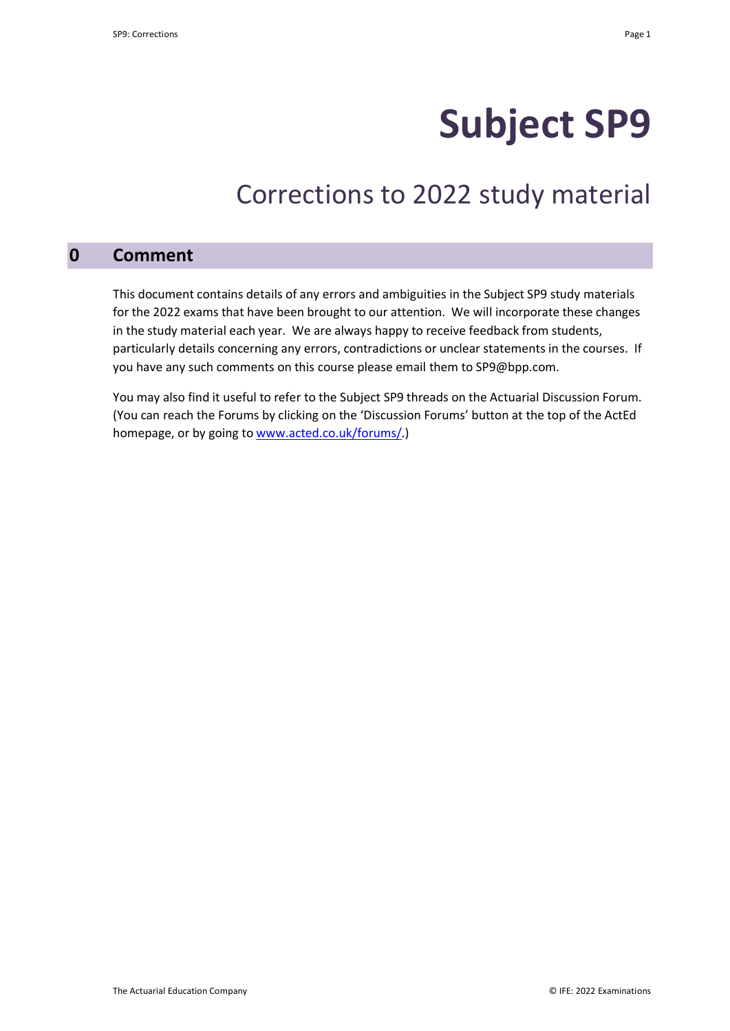# **Subject SP9**

## Corrections to 2022 study material

## **0 Comment**

This document contains details of any errors and ambiguities in the Subject SP9 study materials for the 2022 exams that have been brought to our attention. We will incorporate these changes in the study material each year. We are always happy to receive feedback from students, particularly details concerning any errors, contradictions or unclear statements in the courses. If you have any such comments on this course please email them to SP9@bpp.com.

You may also find it useful to refer to the Subject SP9 threads on the Actuarial Discussion Forum. (You can reach the Forums by clicking on the 'Discussion Forums' button at the top of the ActEd homepage, or by going to www.acted.co.uk/forums/.)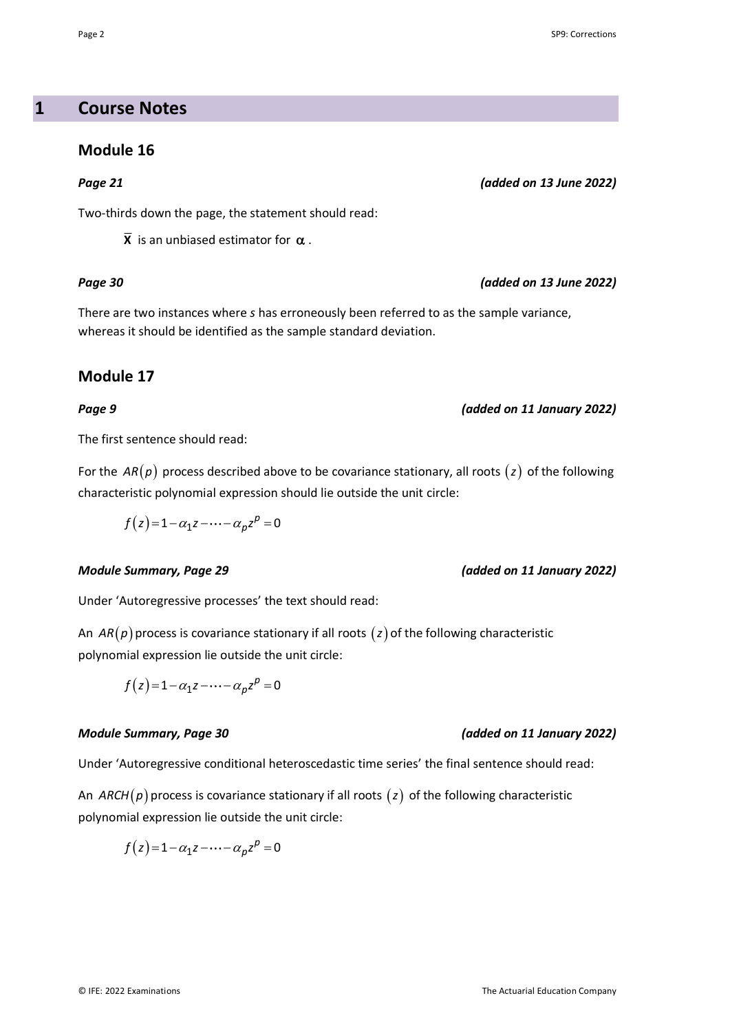## **1 Course Notes**

## **Module 16**

Two-thirds down the page, the statement should read:

 $\overline{X}$  is an unbiased estimator for  $\alpha$ .

## *Page 30 (added on 13 June 2022)*

There are two instances where *s* has erroneously been referred to as the sample variance, whereas it should be identified as the sample standard deviation.

## **Module 17**

The first sentence should read:

For the  $AR(p)$  process described above to be covariance stationary, all roots  $(z)$  of the following characteristic polynomial expression should lie outside the unit circle:

 $f(z)=1-\alpha_1 z-\cdots-\alpha_p z^p=0$ 

## *Module Summary, Page 29 (added on 11 January 2022)*

Under 'Autoregressive processes' the text should read:

An  $AR(p)$  process is covariance stationary if all roots  $(z)$  of the following characteristic polynomial expression lie outside the unit circle:

$$
f(z) = 1 - \alpha_1 z - \dots - \alpha_p z^p = 0
$$

## *Module Summary, Page 30 (added on 11 January 2022)*

Under 'Autoregressive conditional heteroscedastic time series' the final sentence should read:

An *ARCH*( $p$ ) process is covariance stationary if all roots ( $z$ ) of the following characteristic polynomial expression lie outside the unit circle:

$$
f(z)=1-\alpha_1 z-\cdots-\alpha_p z^p=0
$$

### Page 2 SP9: Corrections

## *Page 21 (added on 13 June 2022)*

## *Page 9 (added on 11 January 2022)*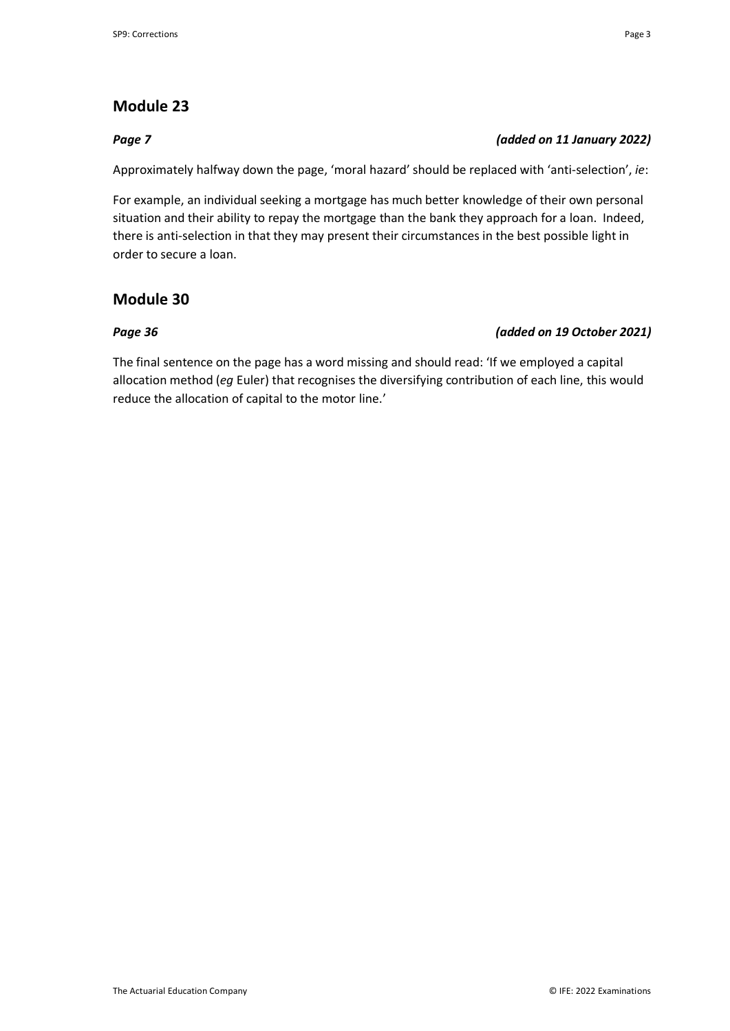## **Module 23**

## *Page 7 (added on 11 January 2022)*

Approximately halfway down the page, 'moral hazard' should be replaced with 'anti-selection', *ie*:

For example, an individual seeking a mortgage has much better knowledge of their own personal situation and their ability to repay the mortgage than the bank they approach for a loan. Indeed, there is anti-selection in that they may present their circumstances in the best possible light in order to secure a loan.

## **Module 30**

## *Page 36 (added on 19 October 2021)*

The final sentence on the page has a word missing and should read: 'If we employed a capital allocation method (*eg* Euler) that recognises the diversifying contribution of each line, this would reduce the allocation of capital to the motor line.'